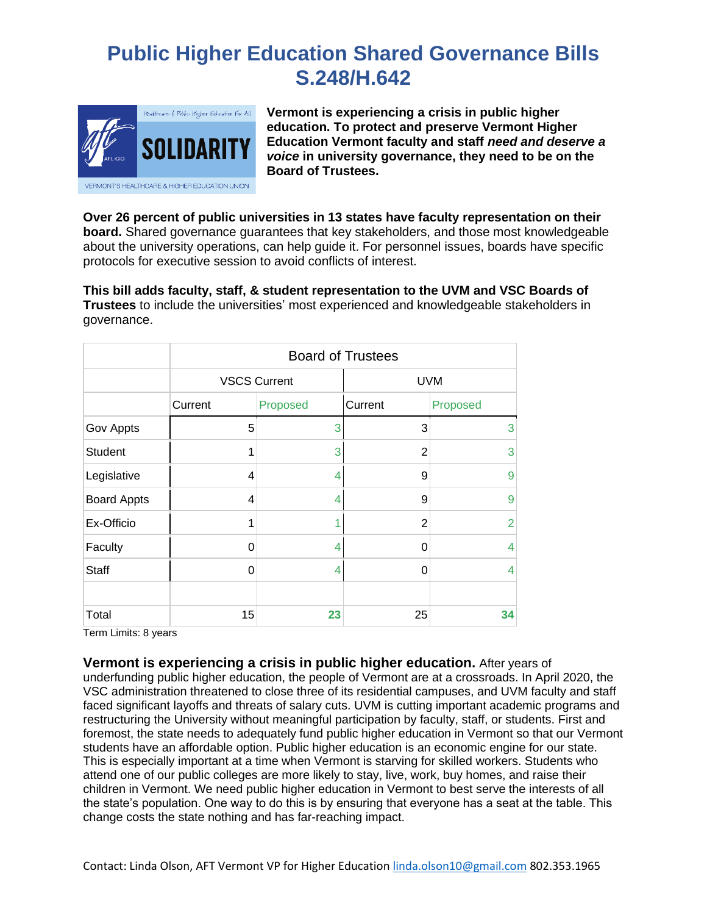# **Public Higher Education Shared Governance Bills S.248/H.642**



**Vermont is experiencing a crisis in public higher education. To protect and preserve Vermont Higher Education Vermont faculty and staff** *need and deserve a voice* **in university governance, they need to be on the Board of Trustees.**

**Over 26 percent of public universities in 13 states have faculty representation on their board.** Shared governance guarantees that key stakeholders, and those most knowledgeable about the university operations, can help guide it. For personnel issues, boards have specific protocols for executive session to avoid conflicts of interest.

**This bill adds faculty, staff, & student representation to the UVM and VSC Boards of Trustees** to include the universities' most experienced and knowledgeable stakeholders in governance.

|                    | <b>Board of Trustees</b> |          |                |                |
|--------------------|--------------------------|----------|----------------|----------------|
|                    | <b>VSCS Current</b>      |          | <b>UVM</b>     |                |
|                    | Current                  | Proposed | Current        | Proposed       |
| Gov Appts          | 5                        | 3        | 3              | 3              |
| <b>Student</b>     |                          | 3        | 2              | 3              |
| Legislative        | 4                        | 4        | 9              | 9              |
| <b>Board Appts</b> | 4                        | 4        | 9              | 9              |
| Ex-Officio         |                          |          | $\overline{2}$ | $\overline{2}$ |
| Faculty            | 0                        | 4        | 0              | 4              |
| Staff              | $\mathbf{0}$             | 4        | 0              | 4              |
|                    |                          |          |                |                |
| Total              | 15                       | 23       | 25             | 34             |

Term Limits: 8 years

**Vermont is experiencing a crisis in public higher education.** After years of

underfunding public higher education, the people of Vermont are at a crossroads. In April 2020, the VSC administration threatened to close three of its residential campuses, and UVM faculty and staff faced significant layoffs and threats of salary cuts. UVM is cutting important academic programs and restructuring the University without meaningful participation by faculty, staff, or students. First and foremost, the state needs to adequately fund public higher education in Vermont so that our Vermont students have an affordable option. Public higher education is an economic engine for our state. This is especially important at a time when Vermont is starving for skilled workers. Students who attend one of our public colleges are more likely to stay, live, work, buy homes, and raise their children in Vermont. We need public higher education in Vermont to best serve the interests of all the state's population. One way to do this is by ensuring that everyone has a seat at the table. This change costs the state nothing and has far-reaching impact.